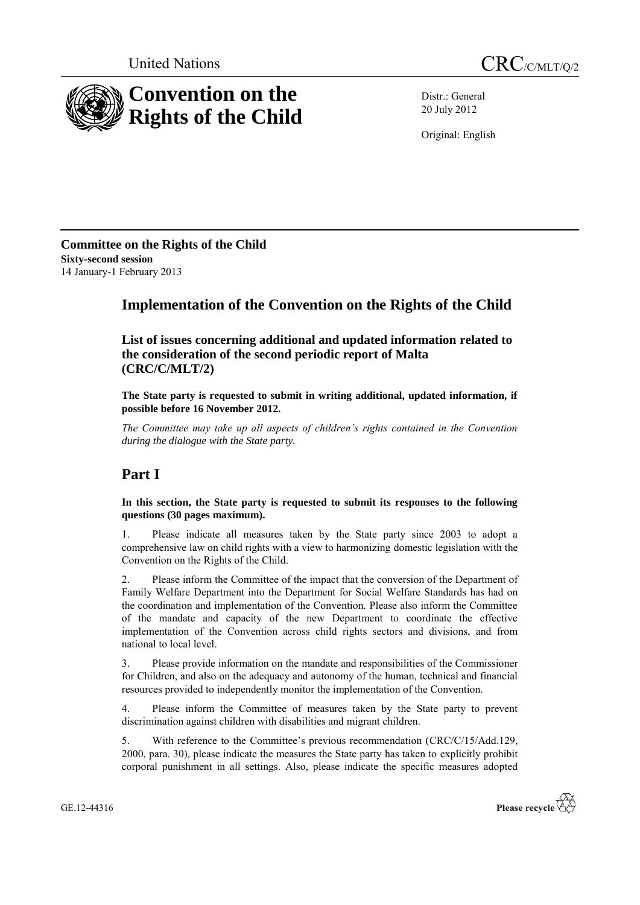



Distr.: General 20 July 2012

Original: English

**Committee on the Rights of the Child Sixty-second session** 14 January-1 February 2013

## **Implementation of the Convention on the Rights of the Child**

**List of issues concerning additional and updated information related to the consideration of the second periodic report of Malta (CRC/C/MLT/2)**

**The State party is requested to submit in writing additional, updated information, if possible before 16 November 2012.**

*The Committee may take up all aspects of children's rights contained in the Convention during the dialogue with the State party.* 

# **Part I**

**In this section, the State party is requested to submit its responses to the following questions (30 pages maximum).**

1. Please indicate all measures taken by the State party since 2003 to adopt a comprehensive law on child rights with a view to harmonizing domestic legislation with the Convention on the Rights of the Child.

2. Please inform the Committee of the impact that the conversion of the Department of Family Welfare Department into the Department for Social Welfare Standards has had on the coordination and implementation of the Convention. Please also inform the Committee of the mandate and capacity of the new Department to coordinate the effective implementation of the Convention across child rights sectors and divisions, and from national to local level.

3. Please provide information on the mandate and responsibilities of the Commissioner for Children, and also on the adequacy and autonomy of the human, technical and financial resources provided to independently monitor the implementation of the Convention.

4. Please inform the Committee of measures taken by the State party to prevent discrimination against children with disabilities and migrant children.

5. With reference to the Committee's previous recommendation (CRC/C/15/Add.129, 2000, para. 30), please indicate the measures the State party has taken to explicitly prohibit corporal punishment in all settings. Also, please indicate the specific measures adopted

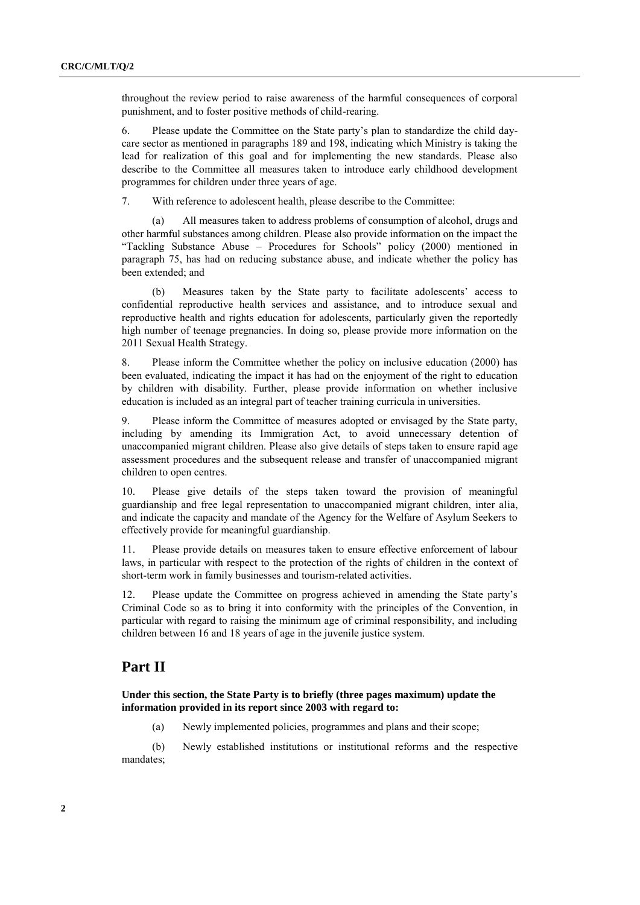throughout the review period to raise awareness of the harmful consequences of corporal punishment, and to foster positive methods of child-rearing.

6. Please update the Committee on the State party's plan to standardize the child daycare sector as mentioned in paragraphs 189 and 198, indicating which Ministry is taking the lead for realization of this goal and for implementing the new standards. Please also describe to the Committee all measures taken to introduce early childhood development programmes for children under three years of age.

7. With reference to adolescent health, please describe to the Committee:

(a) All measures taken to address problems of consumption of alcohol, drugs and other harmful substances among children. Please also provide information on the impact the "Tackling Substance Abuse – Procedures for Schools" policy (2000) mentioned in paragraph 75, has had on reducing substance abuse, and indicate whether the policy has been extended; and

(b) Measures taken by the State party to facilitate adolescents' access to confidential reproductive health services and assistance, and to introduce sexual and reproductive health and rights education for adolescents, particularly given the reportedly high number of teenage pregnancies. In doing so, please provide more information on the 2011 Sexual Health Strategy.

8. Please inform the Committee whether the policy on inclusive education (2000) has been evaluated, indicating the impact it has had on the enjoyment of the right to education by children with disability. Further, please provide information on whether inclusive education is included as an integral part of teacher training curricula in universities.

9. Please inform the Committee of measures adopted or envisaged by the State party, including by amending its Immigration Act, to avoid unnecessary detention of unaccompanied migrant children. Please also give details of steps taken to ensure rapid age assessment procedures and the subsequent release and transfer of unaccompanied migrant children to open centres.

10. Please give details of the steps taken toward the provision of meaningful guardianship and free legal representation to unaccompanied migrant children, inter alia, and indicate the capacity and mandate of the Agency for the Welfare of Asylum Seekers to effectively provide for meaningful guardianship.

11. Please provide details on measures taken to ensure effective enforcement of labour laws, in particular with respect to the protection of the rights of children in the context of short-term work in family businesses and tourism-related activities.

12. Please update the Committee on progress achieved in amending the State party's Criminal Code so as to bring it into conformity with the principles of the Convention, in particular with regard to raising the minimum age of criminal responsibility, and including children between 16 and 18 years of age in the juvenile justice system.

#### **Part II**

**Under this section, the State Party is to briefly (three pages maximum) update the information provided in its report since 2003 with regard to:**

(a) Newly implemented policies, programmes and plans and their scope;

(b) Newly established institutions or institutional reforms and the respective mandates;